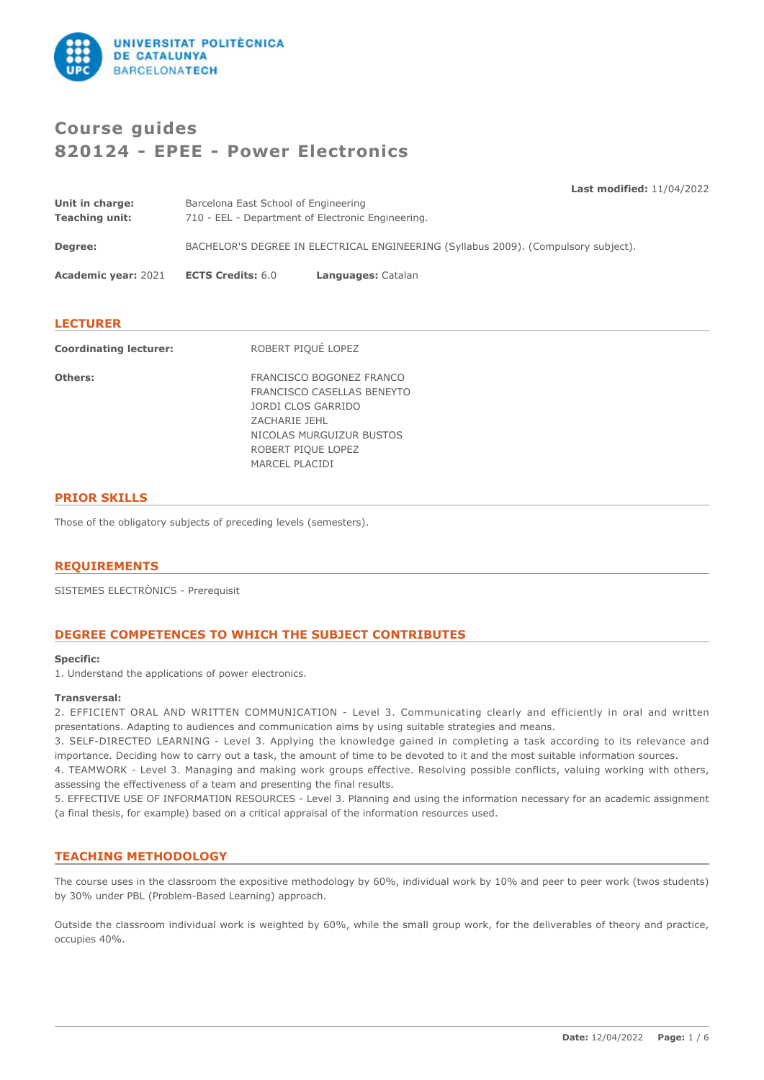

# **Course guides 820124 - EPEE - Power Electronics**

**Last modified:** 11/04/2022

| Unit in charge: | Barcelona East School of Engineering                                               |
|-----------------|------------------------------------------------------------------------------------|
| Teaching unit:  | 710 - EEL - Department of Electronic Engineering.                                  |
| <b>Degree:</b>  | BACHELOR'S DEGREE IN ELECTRICAL ENGINEERING (Syllabus 2009). (Compulsory subject). |
|                 |                                                                                    |

**Academic year:** 2021 **ECTS Credits:** 6.0 **Languages:** Catalan

# **LECTURER**

| <b>Coordinating lecturer:</b> | ROBERT PIQUÉ LOPEZ                                                                                                                                                |
|-------------------------------|-------------------------------------------------------------------------------------------------------------------------------------------------------------------|
| Others:                       | FRANCISCO BOGONEZ FRANCO<br>FRANCISCO CASELLAS BENEYTO<br>JORDI CLOS GARRIDO<br>ZACHARIE JEHL<br>NICOLAS MURGUIZUR BUSTOS<br>ROBERT PIQUE LOPEZ<br>MARCEL PLACIDI |
|                               |                                                                                                                                                                   |

# **PRIOR SKILLS**

Those of the obligatory subjects of preceding levels (semesters).

# **REQUIREMENTS**

SISTEMES ELECTRÒNICS - Prerequisit

# **DEGREE COMPETENCES TO WHICH THE SUBJECT CONTRIBUTES**

#### **Specific:**

1. Understand the applications of power electronics.

# **Transversal:**

2. EFFICIENT ORAL AND WRITTEN COMMUNICATION - Level 3. Communicating clearly and efficiently in oral and written presentations. Adapting to audiences and communication aims by using suitable strategies and means.

3. SELF-DIRECTED LEARNING - Level 3. Applying the knowledge gained in completing a task according to its relevance and importance. Deciding how to carry out a task, the amount of time to be devoted to it and the most suitable information sources.

4. TEAMWORK - Level 3. Managing and making work groups effective. Resolving possible conflicts, valuing working with others, assessing the effectiveness of a team and presenting the final results.

5. EFFECTIVE USE OF INFORMATI0N RESOURCES - Level 3. Planning and using the information necessary for an academic assignment (a final thesis, for example) based on a critical appraisal of the information resources used.

# **TEACHING METHODOLOGY**

The course uses in the classroom the expositive methodology by 60%, individual work by 10% and peer to peer work (twos students) by 30% under PBL (Problem-Based Learning) approach.

Outside the classroom individual work is weighted by 60%, while the small group work, for the deliverables of theory and practice, occupies 40%.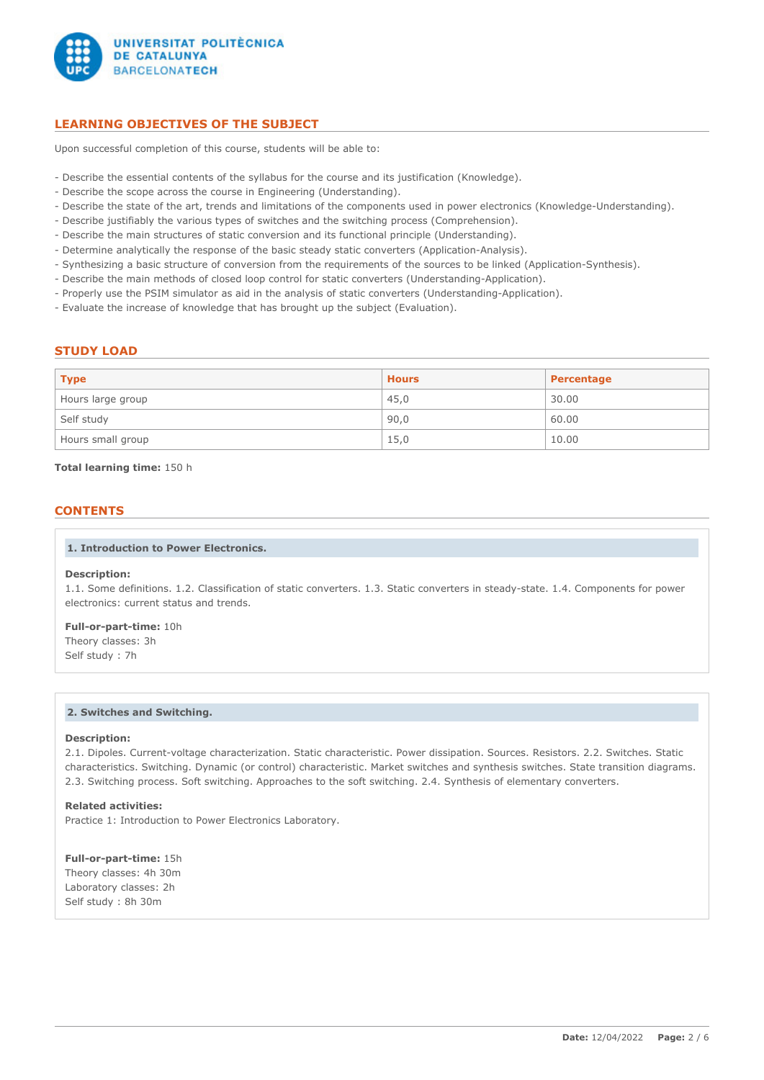

# **LEARNING OBJECTIVES OF THE SUBJECT**

Upon successful completion of this course, students will be able to:

- Describe the essential contents of the syllabus for the course and its justification (Knowledge).
- Describe the scope across the course in Engineering (Understanding).
- Describe the state of the art, trends and limitations of the components used in power electronics (Knowledge-Understanding).
- Describe justifiably the various types of switches and the switching process (Comprehension).
- Describe the main structures of static conversion and its functional principle (Understanding).
- Determine analytically the response of the basic steady static converters (Application-Analysis).
- Synthesizing a basic structure of conversion from the requirements of the sources to be linked (Application-Synthesis).
- Describe the main methods of closed loop control for static converters (Understanding-Application).
- Properly use the PSIM simulator as aid in the analysis of static converters (Understanding-Application).
- Evaluate the increase of knowledge that has brought up the subject (Evaluation).

# **STUDY LOAD**

| <b>Type</b>       | <b>Hours</b> | Percentage |
|-------------------|--------------|------------|
| Hours large group | 45,0         | 30.00      |
| Self study        | 90,0         | 60.00      |
| Hours small group | 15,0         | 10.00      |

**Total learning time:** 150 h

# **CONTENTS**

#### **1. Introduction to Power Electronics.**

#### **Description:**

1.1. Some definitions. 1.2. Classification of static converters. 1.3. Static converters in steady-state. 1.4. Components for power electronics: current status and trends.

## **Full-or-part-time:** 10h

Theory classes: 3h Self study : 7h

### **2. Switches and Switching.**

#### **Description:**

2.1. Dipoles. Current-voltage characterization. Static characteristic. Power dissipation. Sources. Resistors. 2.2. Switches. Static characteristics. Switching. Dynamic (or control) characteristic. Market switches and synthesis switches. State transition diagrams. 2.3. Switching process. Soft switching. Approaches to the soft switching. 2.4. Synthesis of elementary converters.

### **Related activities:**

Practice 1: Introduction to Power Electronics Laboratory.

**Full-or-part-time:** 15h Theory classes: 4h 30m Laboratory classes: 2h Self study : 8h 30m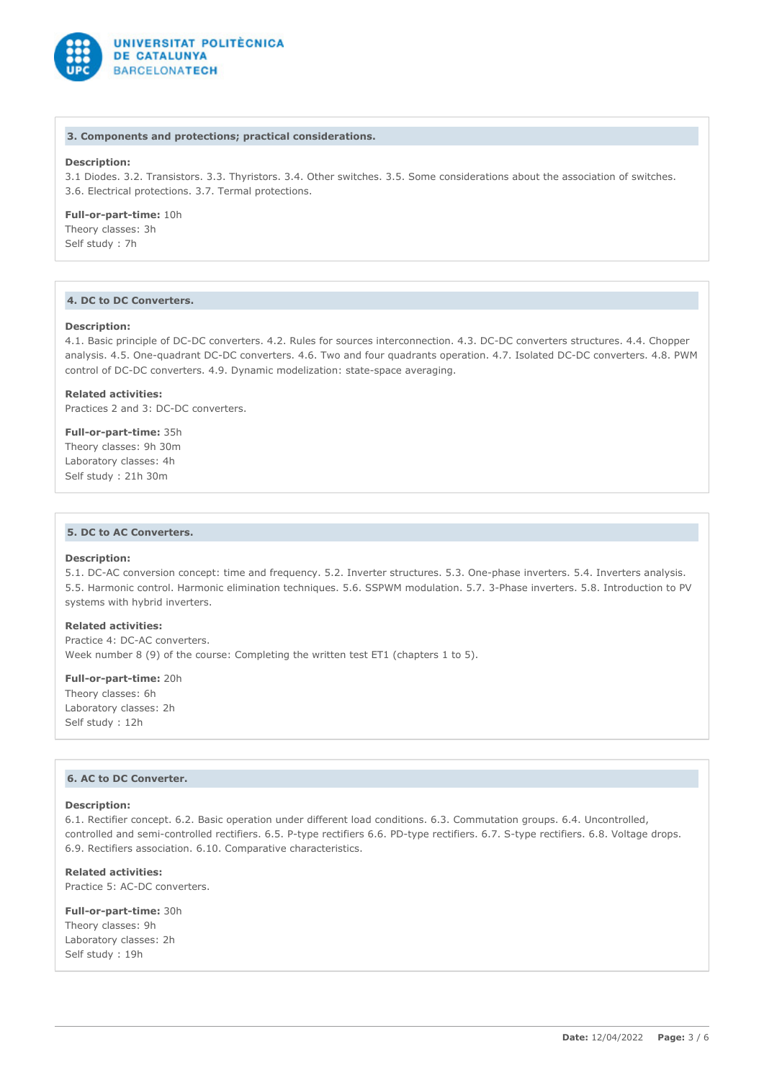

#### **3. Components and protections; practical considerations.**

# **Description:**

3.1 Diodes. 3.2. Transistors. 3.3. Thyristors. 3.4. Other switches. 3.5. Some considerations about the association of switches. 3.6. Electrical protections. 3.7. Termal protections.

# **Full-or-part-time:** 10h

Theory classes: 3h Self study : 7h

# **4. DC to DC Converters.**

#### **Description:**

4.1. Basic principle of DC-DC converters. 4.2. Rules for sources interconnection. 4.3. DC-DC converters structures. 4.4. Chopper analysis. 4.5. One-quadrant DC-DC converters. 4.6. Two and four quadrants operation. 4.7. Isolated DC-DC converters. 4.8. PWM control of DC-DC converters. 4.9. Dynamic modelization: state-space averaging.

#### **Related activities:**

Practices 2 and 3: DC-DC converters.

**Full-or-part-time:** 35h Theory classes: 9h 30m Laboratory classes: 4h Self study : 21h 30m

# **5. DC to AC Converters.**

#### **Description:**

5.1. DC-AC conversion concept: time and frequency. 5.2. Inverter structures. 5.3. One-phase inverters. 5.4. Inverters analysis. 5.5. Harmonic control. Harmonic elimination techniques. 5.6. SSPWM modulation. 5.7. 3-Phase inverters. 5.8. Introduction to PV systems with hybrid inverters.

### **Related activities:**

Practice 4: DC-AC converters. Week number 8 (9) of the course: Completing the written test ET1 (chapters 1 to 5).

**Full-or-part-time:** 20h Theory classes: 6h Laboratory classes: 2h Self study : 12h

# **6. AC to DC Converter.**

### **Description:**

6.1. Rectifier concept. 6.2. Basic operation under different load conditions. 6.3. Commutation groups. 6.4. Uncontrolled, controlled and semi-controlled rectifiers. 6.5. P-type rectifiers 6.6. PD-type rectifiers. 6.7. S-type rectifiers. 6.8. Voltage drops. 6.9. Rectifiers association. 6.10. Comparative characteristics.

### **Related activities:**

Practice 5: AC-DC converters.

**Full-or-part-time:** 30h Theory classes: 9h Laboratory classes: 2h Self study : 19h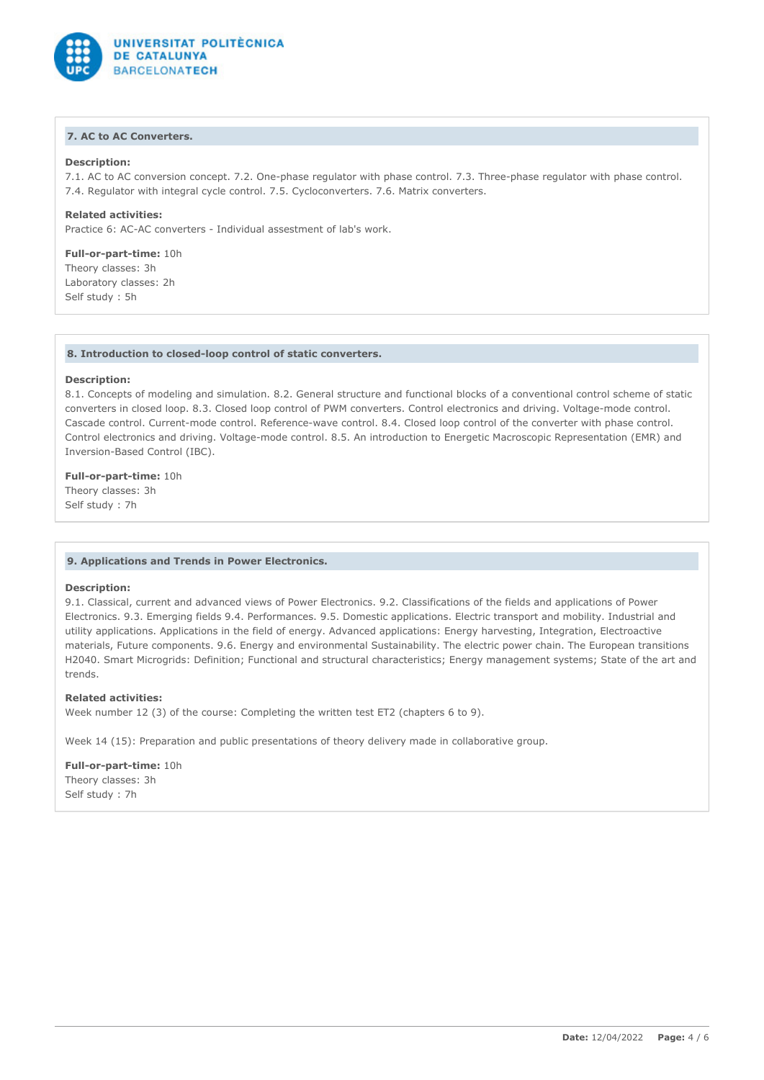

# **7. AC to AC Converters.**

### **Description:**

7.1. AC to AC conversion concept. 7.2. One-phase regulator with phase control. 7.3. Three-phase regulator with phase control. 7.4. Regulator with integral cycle control. 7.5. Cycloconverters. 7.6. Matrix converters.

**Related activities:** Practice 6: AC-AC converters - Individual assestment of lab's work.

**Full-or-part-time:** 10h Theory classes: 3h Laboratory classes: 2h Self study : 5h

#### **8. Introduction to closed-loop control of static converters.**

#### **Description:**

8.1. Concepts of modeling and simulation. 8.2. General structure and functional blocks of a conventional control scheme of static converters in closed loop. 8.3. Closed loop control of PWM converters. Control electronics and driving. Voltage-mode control. Cascade control. Current-mode control. Reference-wave control. 8.4. Closed loop control of the converter with phase control. Control electronics and driving. Voltage-mode control. 8.5. An introduction to Energetic Macroscopic Representation (EMR) and Inversion-Based Control (IBC).

### **Full-or-part-time:** 10h

Theory classes: 3h Self study : 7h

#### **9. Applications and Trends in Power Electronics.**

### **Description:**

9.1. Classical, current and advanced views of Power Electronics. 9.2. Classifications of the fields and applications of Power Electronics. 9.3. Emerging fields 9.4. Performances. 9.5. Domestic applications. Electric transport and mobility. Industrial and utility applications. Applications in the field of energy. Advanced applications: Energy harvesting, Integration, Electroactive materials, Future components. 9.6. Energy and environmental Sustainability. The electric power chain. The European transitions H2040. Smart Microgrids: Definition; Functional and structural characteristics; Energy management systems; State of the art and trends.

# **Related activities:**

Week number 12 (3) of the course: Completing the written test ET2 (chapters 6 to 9).

Week 14 (15): Preparation and public presentations of theory delivery made in collaborative group.

**Full-or-part-time:** 10h Theory classes: 3h Self study : 7h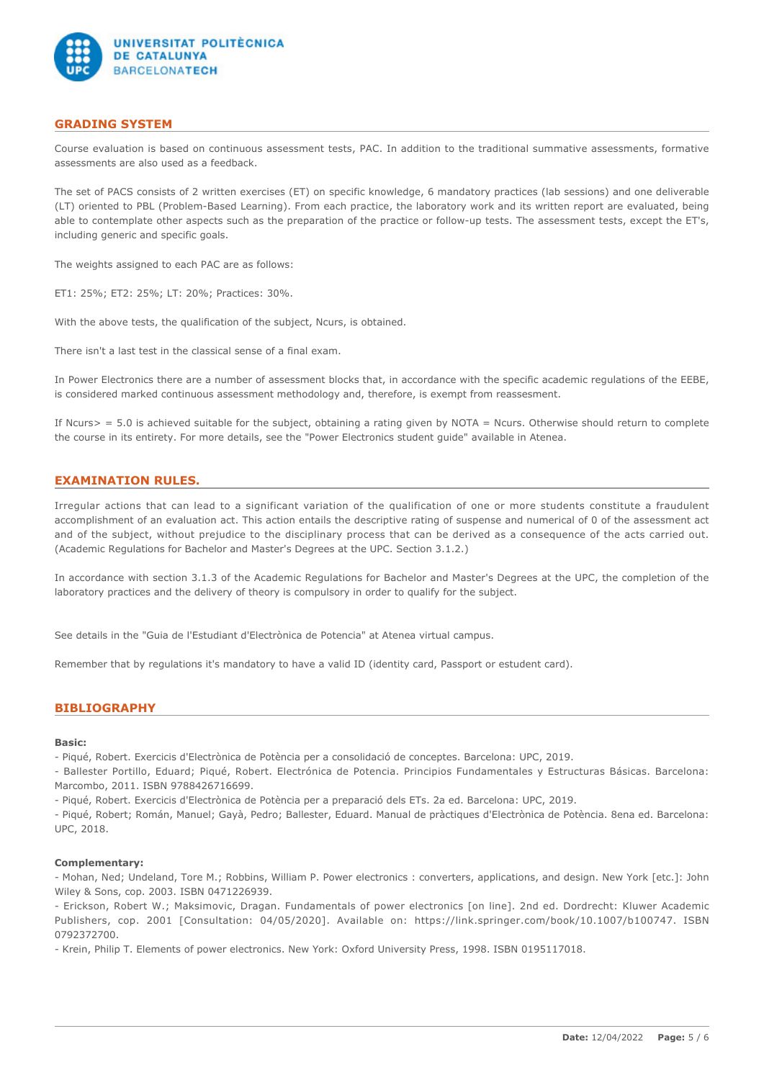

# **GRADING SYSTEM**

Course evaluation is based on continuous assessment tests, PAC. In addition to the traditional summative assessments, formative assessments are also used as a feedback.

The set of PACS consists of 2 written exercises (ET) on specific knowledge, 6 mandatory practices (lab sessions) and one deliverable (LT) oriented to PBL (Problem-Based Learning). From each practice, the laboratory work and its written report are evaluated, being able to contemplate other aspects such as the preparation of the practice or follow-up tests. The assessment tests, except the ET's, including generic and specific goals.

The weights assigned to each PAC are as follows:

ET1: 25%; ET2: 25%; LT: 20%; Practices: 30%.

With the above tests, the qualification of the subject, Ncurs, is obtained.

There isn't a last test in the classical sense of a final exam.

In Power Electronics there are a number of assessment blocks that, in accordance with the specific academic regulations of the EEBE, is considered marked continuous assessment methodology and, therefore, is exempt from reassesment.

If Ncurs $>$  = 5.0 is achieved suitable for the subject, obtaining a rating given by NOTA = Ncurs. Otherwise should return to complete the course in its entirety. For more details, see the "Power Electronics student guide" available in Atenea.

# **EXAMINATION RULES.**

Irregular actions that can lead to a significant variation of the qualification of one or more students constitute a fraudulent accomplishment of an evaluation act. This action entails the descriptive rating of suspense and numerical of 0 of the assessment act and of the subject, without prejudice to the disciplinary process that can be derived as a consequence of the acts carried out. (Academic Regulations for Bachelor and Master's Degrees at the UPC. Section 3.1.2.)

In accordance with section 3.1.3 of the Academic Regulations for Bachelor and Master's Degrees at the UPC, the completion of the laboratory practices and the delivery of theory is compulsory in order to qualify for the subject.

See details in the "Guia de l'Estudiant d'Electrònica de Potencia" at Atenea virtual campus.

Remember that by regulations it's mandatory to have a valid ID (identity card, Passport or estudent card).

# **BIBLIOGRAPHY**

#### **Basic:**

- Piqué, Robert. Exercicis d'Electrònica de Potència per a consolidació de conceptes. Barcelona: UPC, 2019.

- Ballester Portillo, Eduard; Piqué, Robert. Electrónica de Potencia. Principios Fundamentales y Estructuras Básicas. Barcelona: Marcombo, 2011. ISBN 9788426716699.

- Piqué, Robert. Exercicis d'Electrònica de Potència per a preparació dels ETs. 2a ed. Barcelona: UPC, 2019.

- Piqué, Robert; Román, Manuel; Gayà, Pedro; Ballester, Eduard. Manual de pràctiques d'Electrònica de Potència. 8ena ed. Barcelona: UPC, 2018.

#### **Complementary:**

- Mohan, Ned; Undeland, Tore M.; Robbins, William P. Power electronics : converters, applications, and design. New York [etc.]: John Wiley & Sons, cop. 2003. ISBN 0471226939.

- Erickson, Robert W.; Maksimovic, Dragan. Fundamentals of power electronics [on line]. 2nd ed. Dordrecht: Kluwer Academic Publishers, cop. 2001 [Consultation: 04/05/2020]. Available on: https://link.springer.com/book/10.1007/b100747. ISBN 0792372700.

- Krein, Philip T. Elements of power electronics. New York: Oxford University Press, 1998. ISBN 0195117018.